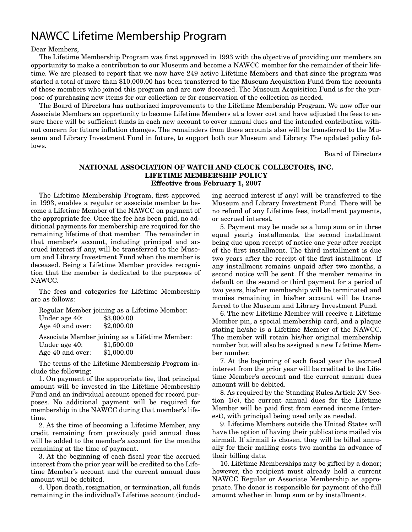## NAWCC Lifetime Membership Program

Dear Members,

The Lifetime Membership Program was first approved in 1993 with the objective of providing our members an opportunity to make a contribution to our Museum and become a NAWCC member for the remainder of their lifetime. We are pleased to report that we now have 249 active Lifetime Members and that since the program was started a total of more than \$10,000.00 has been transferred to the Museum Acquisition Fund from the accounts of those members who joined this program and are now deceased. The Museum Acquisition Fund is for the purpose of purchasing new items for our collection or for conservation of the collection as needed.

The Board of Directors has authorized improvements to the Lifetime Membership Program. We now offer our Associate Members an opportunity to become Lifetime Members at a lower cost and have adjusted the fees to ensure there will be sufficient funds in each new account to cover annual dues and the intended contribution without concern for future inflation changes. The remainders from these accounts also will be transferred to the Museum and Library Investment Fund in future, to support both our Museum and Library. The updated policy follows.

Board of Directors

#### **NATIONAL ASSOCIATION OF WATCH AND CLOCK COLLECTORS, INC. LIFETIME MEMBERSHIP POLICY Effective from February 1, 2007**

The Lifetime Membership Program, first approved in 1993, enables a regular or associate member to become a Lifetime Member of the NAWCC on payment of the appropriate fee. Once the fee has been paid, no additional payments for membership are required for the remaining lifetime of that member. The remainder in that member's account, including principal and accrued interest if any, will be transferred to the Museum and Library Investment Fund when the member is deceased. Being a Lifetime Member provides recognition that the member is dedicated to the purposes of NAWCC.

The fees and categories for Lifetime Membership are as follows:

|                                                | Regular Member joining as a Lifetime Member: |  |  |  |
|------------------------------------------------|----------------------------------------------|--|--|--|
| Under age 40:                                  | \$3,000.00                                   |  |  |  |
| Age 40 and over:                               | \$2,000.00                                   |  |  |  |
| Associate Member joining as a Lifetime Member: |                                              |  |  |  |
| Under age 40:                                  | \$1,500.00                                   |  |  |  |
| Age 40 and over:                               | \$1,000.00                                   |  |  |  |

The terms of the Lifetime Membership Program include the following:

1. On payment of the appropriate fee, that principal amount will be invested in the Lifetime Membership Fund and an individual account opened for record purposes. No additional payment will be required for membership in the NAWCC during that member's lifetime.

2. At the time of becoming a Lifetime Member, any credit remaining from previously paid annual dues will be added to the member's account for the months remaining at the time of payment.

3. At the beginning of each fiscal year the accrued interest from the prior year will be credited to the Lifetime Member's account and the current annual dues amount will be debited.

4. Upon death, resignation, or termination, all funds remaining in the individual's Lifetime account (including accrued interest if any) will be transferred to the Museum and Library Investment Fund. There will be no refund of any Lifetime fees, installment payments, or accrued interest.

5. Payment may be made as a lump sum or in three equal yearly installments, the second installment being due upon receipt of notice one year after receipt of the first installment. The third installment is due two years after the receipt of the first installment If any installment remains unpaid after two months, a second notice will be sent. If the member remains in default on the second or third payment for a period of two years, his/her membership will be terminated and monies remaining in his/her account will be transferred to the Museum and Library Investment Fund.

6. The new Lifetime Member will receive a Lifetime Member pin, a special membership card, and a plaque stating he/she is a Lifetime Member of the NAWCC. The member will retain his/her original membership number but will also be assigned a new Lifetime Member number.

7. At the beginning of each fiscal year the accrued interest from the prior year will be credited to the Lifetime Member's account and the current annual dues amount will be debited.

8. As required by the Standing Rules Article XV Section 1(c), the current annual dues for the Lifetime Member will be paid first from earned income (interest), with principal being used only as needed.

9. Lifetime Members outside the United States will have the option of having their publications mailed via airmail. If airmail is chosen, they will be billed annually for their mailing costs two months in advance of their billing date.

10. Lifetime Memberships may be gifted by a donor; however, the recipient must already hold a current NAWCC Regular or Associate Membership as appropriate. The donor is responsible for payment of the full amount whether in lump sum or by installments.